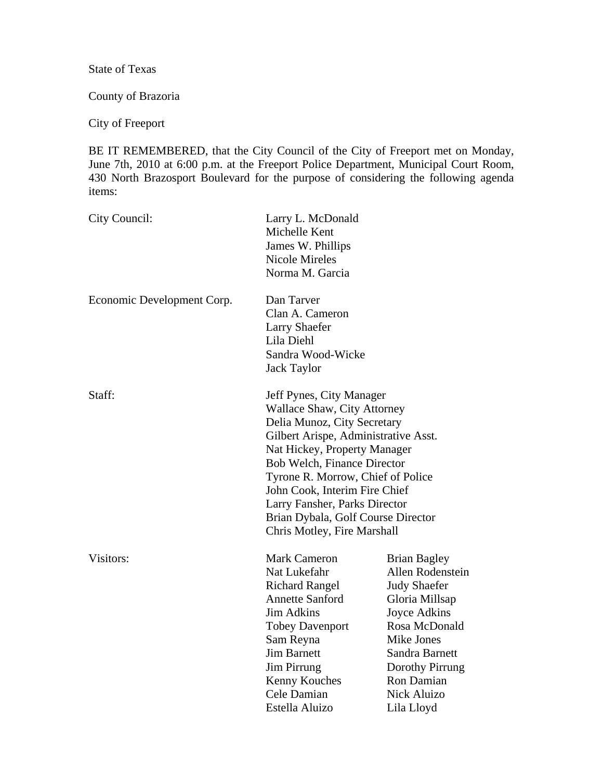State of Texas

County of Brazoria

City of Freeport

BE IT REMEMBERED, that the City Council of the City of Freeport met on Monday, June 7th, 2010 at 6:00 p.m. at the Freeport Police Department, Municipal Court Room, 430 North Brazosport Boulevard for the purpose of considering the following agenda items:

| City Council:              | Larry L. McDonald<br>Michelle Kent<br>James W. Phillips<br><b>Nicole Mireles</b><br>Norma M. Garcia                                                                                                                                                                                                                                                                              |                                                                                                                                                                                                                 |
|----------------------------|----------------------------------------------------------------------------------------------------------------------------------------------------------------------------------------------------------------------------------------------------------------------------------------------------------------------------------------------------------------------------------|-----------------------------------------------------------------------------------------------------------------------------------------------------------------------------------------------------------------|
| Economic Development Corp. | Dan Tarver<br>Clan A. Cameron<br><b>Larry Shaefer</b><br>Lila Diehl<br>Sandra Wood-Wicke<br><b>Jack Taylor</b>                                                                                                                                                                                                                                                                   |                                                                                                                                                                                                                 |
| Staff:                     | Jeff Pynes, City Manager<br><b>Wallace Shaw, City Attorney</b><br>Delia Munoz, City Secretary<br>Gilbert Arispe, Administrative Asst.<br>Nat Hickey, Property Manager<br>Bob Welch, Finance Director<br>Tyrone R. Morrow, Chief of Police<br>John Cook, Interim Fire Chief<br>Larry Fansher, Parks Director<br>Brian Dybala, Golf Course Director<br>Chris Motley, Fire Marshall |                                                                                                                                                                                                                 |
| Visitors:                  | <b>Mark Cameron</b><br>Nat Lukefahr<br><b>Richard Rangel</b><br><b>Annette Sanford</b><br><b>Jim Adkins</b><br><b>Tobey Davenport</b><br>Sam Reyna<br><b>Jim Barnett</b><br><b>Jim Pirrung</b><br>Kenny Kouches<br>Cele Damian<br>Estella Aluizo                                                                                                                                 | <b>Brian Bagley</b><br>Allen Rodenstein<br><b>Judy Shaefer</b><br>Gloria Millsap<br>Joyce Adkins<br>Rosa McDonald<br>Mike Jones<br>Sandra Barnett<br>Dorothy Pirrung<br>Ron Damian<br>Nick Aluizo<br>Lila Lloyd |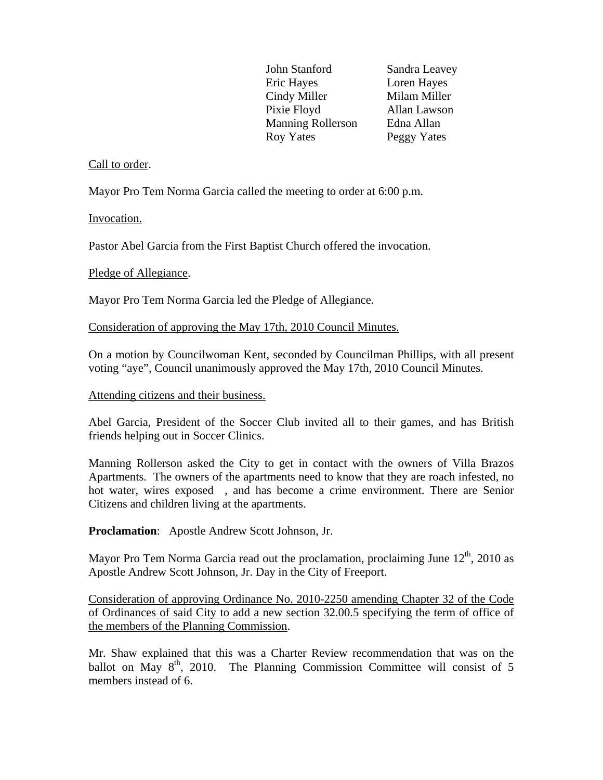John Stanford Sandra Leavey Eric Hayes Loren Hayes Cindy Miller Milam Miller Pixie Floyd Allan Lawson Manning Rollerson Edna Allan Roy Yates Peggy Yates

### Call to order.

Mayor Pro Tem Norma Garcia called the meeting to order at 6:00 p.m.

Invocation.

Pastor Abel Garcia from the First Baptist Church offered the invocation.

### Pledge of Allegiance.

Mayor Pro Tem Norma Garcia led the Pledge of Allegiance.

Consideration of approving the May 17th, 2010 Council Minutes.

On a motion by Councilwoman Kent, seconded by Councilman Phillips, with all present voting "aye", Council unanimously approved the May 17th, 2010 Council Minutes.

### Attending citizens and their business.

Abel Garcia, President of the Soccer Club invited all to their games, and has British friends helping out in Soccer Clinics.

Manning Rollerson asked the City to get in contact with the owners of Villa Brazos Apartments. The owners of the apartments need to know that they are roach infested, no hot water, wires exposed , and has become a crime environment. There are Senior Citizens and children living at the apartments.

**Proclamation**: Apostle Andrew Scott Johnson, Jr.

Mayor Pro Tem Norma Garcia read out the proclamation, proclaiming June  $12<sup>th</sup>$ , 2010 as Apostle Andrew Scott Johnson, Jr. Day in the City of Freeport.

Consideration of approving Ordinance No. 2010-2250 amending Chapter 32 of the Code of Ordinances of said City to add a new section 32.00.5 specifying the term of office of the members of the Planning Commission.

Mr. Shaw explained that this was a Charter Review recommendation that was on the ballot on May  $8<sup>th</sup>$ , 2010. The Planning Commission Committee will consist of 5 members instead of 6.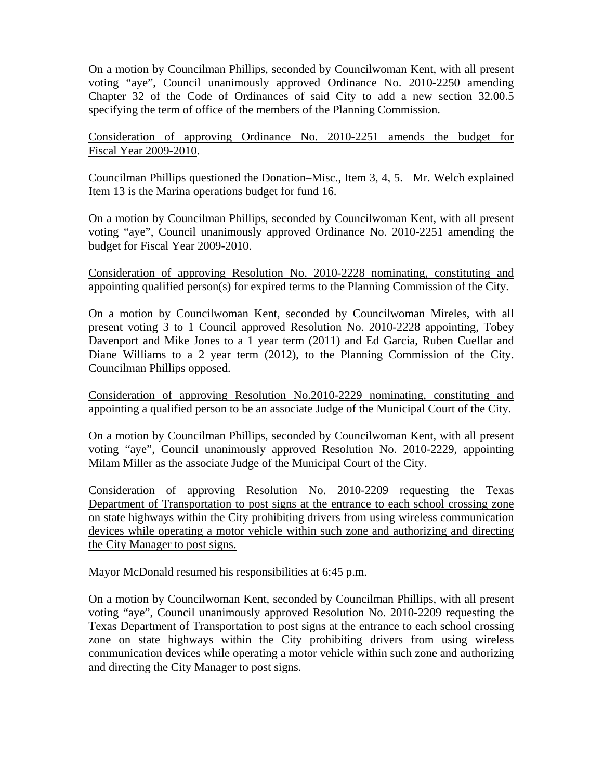On a motion by Councilman Phillips, seconded by Councilwoman Kent, with all present voting "aye", Council unanimously approved Ordinance No. 2010-2250 amending Chapter 32 of the Code of Ordinances of said City to add a new section 32.00.5 specifying the term of office of the members of the Planning Commission.

Consideration of approving Ordinance No. 2010-2251 amends the budget for Fiscal Year 2009-2010.

Councilman Phillips questioned the Donation–Misc., Item 3, 4, 5. Mr. Welch explained Item 13 is the Marina operations budget for fund 16.

On a motion by Councilman Phillips, seconded by Councilwoman Kent, with all present voting "aye", Council unanimously approved Ordinance No. 2010-2251 amending the budget for Fiscal Year 2009-2010.

Consideration of approving Resolution No. 2010-2228 nominating, constituting and appointing qualified person(s) for expired terms to the Planning Commission of the City.

On a motion by Councilwoman Kent, seconded by Councilwoman Mireles, with all present voting 3 to 1 Council approved Resolution No. 2010-2228 appointing, Tobey Davenport and Mike Jones to a 1 year term (2011) and Ed Garcia, Ruben Cuellar and Diane Williams to a 2 year term (2012), to the Planning Commission of the City. Councilman Phillips opposed.

Consideration of approving Resolution No.2010-2229 nominating, constituting and appointing a qualified person to be an associate Judge of the Municipal Court of the City.

On a motion by Councilman Phillips, seconded by Councilwoman Kent, with all present voting "aye", Council unanimously approved Resolution No. 2010-2229, appointing Milam Miller as the associate Judge of the Municipal Court of the City.

Consideration of approving Resolution No. 2010-2209 requesting the Texas Department of Transportation to post signs at the entrance to each school crossing zone on state highways within the City prohibiting drivers from using wireless communication devices while operating a motor vehicle within such zone and authorizing and directing the City Manager to post signs.

Mayor McDonald resumed his responsibilities at 6:45 p.m.

On a motion by Councilwoman Kent, seconded by Councilman Phillips, with all present voting "aye", Council unanimously approved Resolution No. 2010-2209 requesting the Texas Department of Transportation to post signs at the entrance to each school crossing zone on state highways within the City prohibiting drivers from using wireless communication devices while operating a motor vehicle within such zone and authorizing and directing the City Manager to post signs.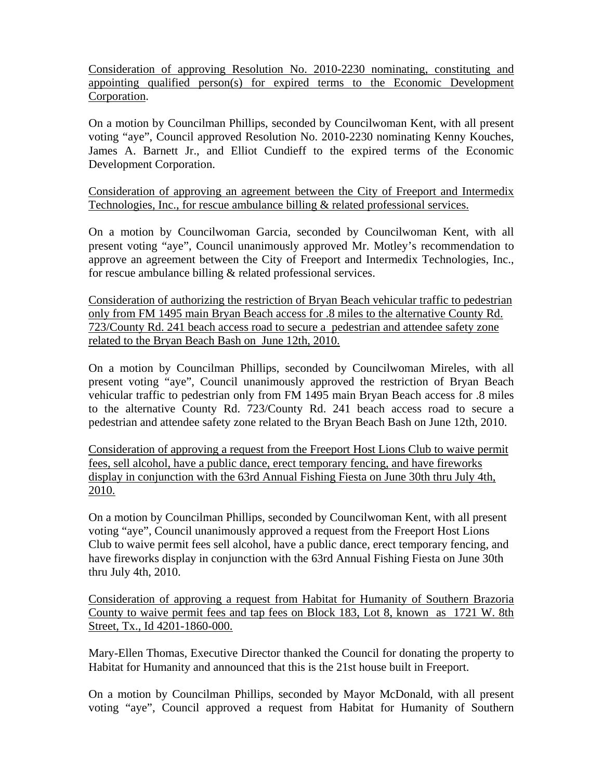Consideration of approving Resolution No. 2010-2230 nominating, constituting and appointing qualified person(s) for expired terms to the Economic Development Corporation.

On a motion by Councilman Phillips, seconded by Councilwoman Kent, with all present voting "aye", Council approved Resolution No. 2010-2230 nominating Kenny Kouches, James A. Barnett Jr., and Elliot Cundieff to the expired terms of the Economic Development Corporation.

Consideration of approving an agreement between the City of Freeport and Intermedix Technologies, Inc., for rescue ambulance billing & related professional services.

On a motion by Councilwoman Garcia, seconded by Councilwoman Kent, with all present voting "aye", Council unanimously approved Mr. Motley's recommendation to approve an agreement between the City of Freeport and Intermedix Technologies, Inc., for rescue ambulance billing & related professional services.

Consideration of authorizing the restriction of Bryan Beach vehicular traffic to pedestrian only from FM 1495 main Bryan Beach access for .8 miles to the alternative County Rd. 723/County Rd. 241 beach access road to secure a pedestrian and attendee safety zone related to the Bryan Beach Bash on June 12th, 2010.

On a motion by Councilman Phillips, seconded by Councilwoman Mireles, with all present voting "aye", Council unanimously approved the restriction of Bryan Beach vehicular traffic to pedestrian only from FM 1495 main Bryan Beach access for .8 miles to the alternative County Rd. 723/County Rd. 241 beach access road to secure a pedestrian and attendee safety zone related to the Bryan Beach Bash on June 12th, 2010.

Consideration of approving a request from the Freeport Host Lions Club to waive permit fees, sell alcohol, have a public dance, erect temporary fencing, and have fireworks display in conjunction with the 63rd Annual Fishing Fiesta on June 30th thru July 4th, 2010.

On a motion by Councilman Phillips, seconded by Councilwoman Kent, with all present voting "aye", Council unanimously approved a request from the Freeport Host Lions Club to waive permit fees sell alcohol, have a public dance, erect temporary fencing, and have fireworks display in conjunction with the 63rd Annual Fishing Fiesta on June 30th thru July 4th, 2010.

Consideration of approving a request from Habitat for Humanity of Southern Brazoria County to waive permit fees and tap fees on Block 183, Lot 8, known as 1721 W. 8th Street, Tx., Id 4201-1860-000.

Mary-Ellen Thomas, Executive Director thanked the Council for donating the property to Habitat for Humanity and announced that this is the 21st house built in Freeport.

On a motion by Councilman Phillips, seconded by Mayor McDonald, with all present voting "aye", Council approved a request from Habitat for Humanity of Southern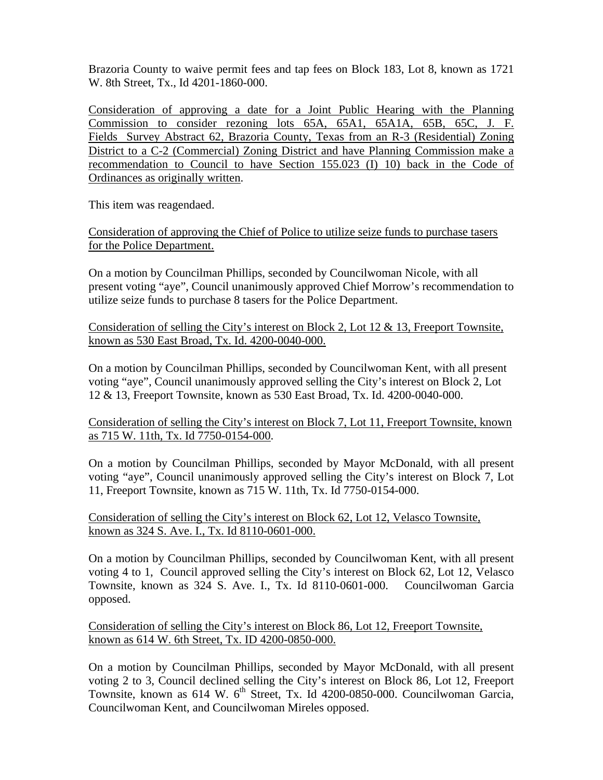Brazoria County to waive permit fees and tap fees on Block 183, Lot 8, known as 1721 W. 8th Street, Tx., Id 4201-1860-000.

Consideration of approving a date for a Joint Public Hearing with the Planning Commission to consider rezoning lots 65A, 65A1, 65A1A, 65B, 65C, J. F. Fields Survey Abstract 62, Brazoria County, Texas from an R-3 (Residential) Zoning District to a C-2 (Commercial) Zoning District and have Planning Commission make a recommendation to Council to have Section 155.023 (I) 10) back in the Code of Ordinances as originally written.

This item was reagendaed.

Consideration of approving the Chief of Police to utilize seize funds to purchase tasers for the Police Department.

On a motion by Councilman Phillips, seconded by Councilwoman Nicole, with all present voting "aye", Council unanimously approved Chief Morrow's recommendation to utilize seize funds to purchase 8 tasers for the Police Department.

Consideration of selling the City's interest on Block 2, Lot 12 & 13, Freeport Townsite, known as 530 East Broad, Tx. Id. 4200-0040-000.

On a motion by Councilman Phillips, seconded by Councilwoman Kent, with all present voting "aye", Council unanimously approved selling the City's interest on Block 2, Lot 12 & 13, Freeport Townsite, known as 530 East Broad, Tx. Id. 4200-0040-000.

Consideration of selling the City's interest on Block 7, Lot 11, Freeport Townsite, known as 715 W. 11th, Tx. Id 7750-0154-000.

On a motion by Councilman Phillips, seconded by Mayor McDonald, with all present voting "aye", Council unanimously approved selling the City's interest on Block 7, Lot 11, Freeport Townsite, known as 715 W. 11th, Tx. Id 7750-0154-000.

Consideration of selling the City's interest on Block 62, Lot 12, Velasco Townsite, known as 324 S. Ave. I., Tx. Id 8110-0601-000.

On a motion by Councilman Phillips, seconded by Councilwoman Kent, with all present voting 4 to 1, Council approved selling the City's interest on Block 62, Lot 12, Velasco Townsite, known as 324 S. Ave. I., Tx. Id 8110-0601-000. Councilwoman Garcia opposed.

Consideration of selling the City's interest on Block 86, Lot 12, Freeport Townsite, known as 614 W. 6th Street, Tx. ID 4200-0850-000.

On a motion by Councilman Phillips, seconded by Mayor McDonald, with all present voting 2 to 3, Council declined selling the City's interest on Block 86, Lot 12, Freeport Townsite, known as 614 W.  $6^{th}$  Street, Tx. Id 4200-0850-000. Councilwoman Garcia, Councilwoman Kent, and Councilwoman Mireles opposed.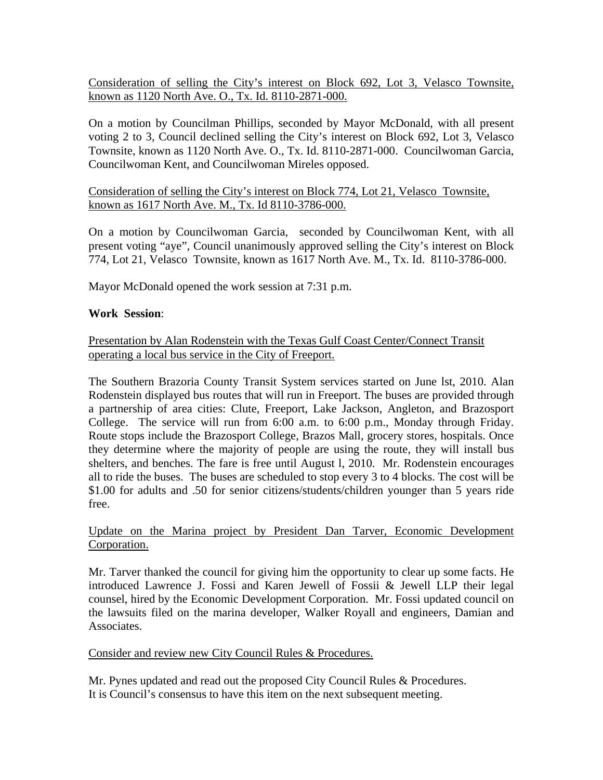Consideration of selling the City's interest on Block 692, Lot 3, Velasco Townsite, known as 1120 North Ave. O., Tx. Id. 8110-2871-000.

On a motion by Councilman Phillips, seconded by Mayor McDonald, with all present voting 2 to 3, Council declined selling the City's interest on Block 692, Lot 3, Velasco Townsite, known as 1120 North Ave. O., Tx. Id. 8110-2871-000. Councilwoman Garcia, Councilwoman Kent, and Councilwoman Mireles opposed.

# Consideration of selling the City's interest on Block 774, Lot 21, Velasco Townsite, known as 1617 North Ave. M., Tx. Id 8110-3786-000.

On a motion by Councilwoman Garcia, seconded by Councilwoman Kent, with all present voting "aye", Council unanimously approved selling the City's interest on Block 774, Lot 21, Velasco Townsite, known as 1617 North Ave. M., Tx. Id. 8110-3786-000.

Mayor McDonald opened the work session at 7:31 p.m.

## **Work Session**:

## Presentation by Alan Rodenstein with the Texas Gulf Coast Center/Connect Transit operating a local bus service in the City of Freeport.

The Southern Brazoria County Transit System services started on June lst, 2010. Alan Rodenstein displayed bus routes that will run in Freeport. The buses are provided through a partnership of area cities: Clute, Freeport, Lake Jackson, Angleton, and Brazosport College. The service will run from 6:00 a.m. to 6:00 p.m., Monday through Friday. Route stops include the Brazosport College, Brazos Mall, grocery stores, hospitals. Once they determine where the majority of people are using the route, they will install bus shelters, and benches. The fare is free until August l, 2010. Mr. Rodenstein encourages all to ride the buses. The buses are scheduled to stop every 3 to 4 blocks. The cost will be \$1.00 for adults and .50 for senior citizens/students/children younger than 5 years ride free.

## Update on the Marina project by President Dan Tarver, Economic Development Corporation.

Mr. Tarver thanked the council for giving him the opportunity to clear up some facts. He introduced Lawrence J. Fossi and Karen Jewell of Fossii & Jewell LLP their legal counsel, hired by the Economic Development Corporation. Mr. Fossi updated council on the lawsuits filed on the marina developer, Walker Royall and engineers, Damian and Associates.

### Consider and review new City Council Rules & Procedures.

Mr. Pynes updated and read out the proposed City Council Rules & Procedures. It is Council's consensus to have this item on the next subsequent meeting.